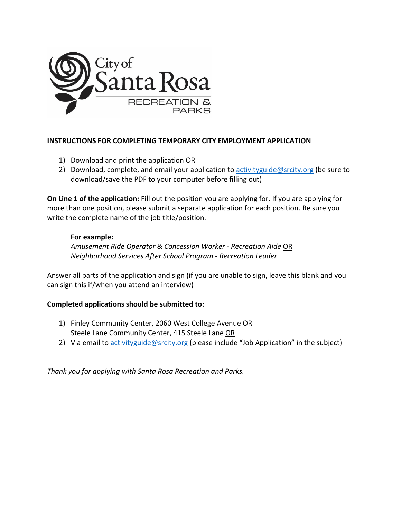

## **INSTRUCTIONS FOR COMPLETING TEMPORARY CITY EMPLOYMENT APPLICATION**

- 1) Download and print the application OR
- 2) Download, complete, and email your application to activity guide@srcity.org (be sure to download/save the PDF to your computer before filling out)

**On Line 1 of the application:** Fill out the position you are applying for. If you are applying for more than one position, please submit a separate application for each position. Be sure you write the complete name of the job title/position.

## **For example:**

*Amusement Ride Operator & Concession Worker - Recreation Aide* OR *Neighborhood Services After School Program - Recreation Leader*

Answer all parts of the application and sign (if you are unable to sign, leave this blank and you can sign this if/when you attend an interview)

## **Completed applications should be submitted to:**

- 1) Finley Community Center, 2060 West College Avenue OR Steele Lane Community Center, 415 Steele Lane OR
- 2) Via email t[o activityguide@srcity.org](mailto:activityguide@srcity.org) (please include "Job Application" in the subject)

*Thank you for applying with Santa Rosa Recreation and Parks.*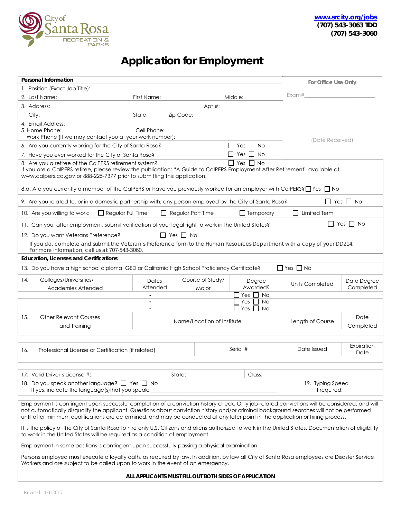

## **Application for Employment**

| Personal Information                                                                                                                                                                                                                                                                     |                   |                            |                               | For Office Use Only  |                          |  |
|------------------------------------------------------------------------------------------------------------------------------------------------------------------------------------------------------------------------------------------------------------------------------------------|-------------------|----------------------------|-------------------------------|----------------------|--------------------------|--|
| 1. Position (Exact Job Title):                                                                                                                                                                                                                                                           |                   |                            |                               |                      |                          |  |
| 2. Last Name:                                                                                                                                                                                                                                                                            | First Name:       |                            | Middle:                       | Exam#                |                          |  |
| 3. Address:                                                                                                                                                                                                                                                                              |                   | Apt $#$ :                  |                               |                      |                          |  |
| City:                                                                                                                                                                                                                                                                                    | State:            | Zip Code:                  |                               |                      |                          |  |
| 4. Email Address:                                                                                                                                                                                                                                                                        |                   |                            |                               |                      |                          |  |
| 5. Home Phone:                                                                                                                                                                                                                                                                           | Cell Phone:       |                            |                               |                      |                          |  |
| Work Phone (If we may contact you at your work number):                                                                                                                                                                                                                                  | (Date Received)   |                            |                               |                      |                          |  |
| 6. Are you currently working for the City of Santa Rosa?                                                                                                                                                                                                                                 |                   |                            |                               |                      |                          |  |
| 7. Have you ever worked for the City of Santa Rosa?                                                                                                                                                                                                                                      |                   |                            | $\Box$ Yes $\Box$ No          |                      |                          |  |
| $\Box$ Yes $\Box$ No<br>8. Are you a retiree of the CalPERS retirement system?<br>If you are a CalPERS retiree, please review the publication: "A Guide to CalPERS Employment After Retirement" available at<br>www.calpers.ca.gov or 888-225-7377 prior to submitting this application. |                   |                            |                               |                      |                          |  |
| 8.a. Are you currently a member of the CalPERS or have you previously worked for an employer with CalPERS? I Yes I No                                                                                                                                                                    |                   |                            |                               |                      |                          |  |
| 9. Are you related to, or in a domestic partnership with, any person employed by the City of Santa Rosa?                                                                                                                                                                                 |                   |                            |                               |                      | $\Box$ Yes $\Box$ No     |  |
| $\Box$ Regular Full Time<br>10. Are you willing to work:                                                                                                                                                                                                                                 |                   | $\Box$ Regular Part Time   | $\Box$ Temporary              | $\Box$ Limited Term  |                          |  |
| 11. Can you, after employment, submit verification of your legal right to work in the United States?                                                                                                                                                                                     |                   |                            |                               |                      | $\Box$ Yes $\Box$ No     |  |
| 12. Do you want Veterans Preference?                                                                                                                                                                                                                                                     |                   | II Yes II No               |                               |                      |                          |  |
| If you do, complete and submit the Veteran's Preference form to the Human Resources Department with a copy of your DD214.<br>For more information, call us at 707-543-3060.                                                                                                              |                   |                            |                               |                      |                          |  |
| <b>Education, Licenses and Certifications</b>                                                                                                                                                                                                                                            |                   |                            |                               |                      |                          |  |
| 13. Do you have a high school diploma, GED or California High School Proficiency Certificate?                                                                                                                                                                                            |                   |                            |                               | $\Box$ Yes $\Box$ No |                          |  |
| 14.<br>Colleges/Universities/<br>Academies Attended                                                                                                                                                                                                                                      | Dates<br>Attended | Course of Study/<br>Major  | Degree<br>Awarded?            | Units Completed      | Date Degree<br>Completed |  |
|                                                                                                                                                                                                                                                                                          |                   |                            | $\Box$ Yes $\Box$ No          |                      |                          |  |
| $\Box$ Yes $\Box$<br>No<br>$\overline{\phantom{a}}$                                                                                                                                                                                                                                      |                   |                            |                               |                      |                          |  |
|                                                                                                                                                                                                                                                                                          |                   |                            | $\square$ Yes $\square$<br>No |                      |                          |  |
| 15.<br><b>Other Relevant Courses</b>                                                                                                                                                                                                                                                     |                   | Name/Location of Institute |                               | Length of Course     | Date                     |  |
| and Training                                                                                                                                                                                                                                                                             | Completed         |                            |                               |                      |                          |  |
|                                                                                                                                                                                                                                                                                          |                   |                            |                               |                      |                          |  |
| Professional License or Certification (if related)<br>16.                                                                                                                                                                                                                                |                   |                            | Serial #                      | Date Issued          | Expiration<br>Date       |  |
|                                                                                                                                                                                                                                                                                          |                   |                            |                               |                      |                          |  |
| 17. Valid Driver's License #:                                                                                                                                                                                                                                                            |                   |                            | Class:                        |                      |                          |  |
| State:<br>18. Do you speak another language? $\Box$ Yes $\Box$ No                                                                                                                                                                                                                        |                   |                            |                               | 19. Typing Speed     |                          |  |
| If yes, indicate the language(s) that you speak:<br>if required:                                                                                                                                                                                                                         |                   |                            |                               |                      |                          |  |
| Employment is contingent upon successful completion of a conviction history check. Only job-related convictions will be considered, and will                                                                                                                                             |                   |                            |                               |                      |                          |  |
| not automatically disqualify the applicant. Questions about conviction history and/or criminal background searches will not be performed<br>until after minimum qualifications are determined, and may be conducted at any later point in the application or hiring process.             |                   |                            |                               |                      |                          |  |
| It is the policy of the City of Santa Rosa to hire only U.S. Citizens and aliens authorized to work in the United States. Documentation of eligibility<br>to work in the United States will be required as a condition of employment.                                                    |                   |                            |                               |                      |                          |  |
| Employment in some positions is contingent upon successfully passing a physical examination.                                                                                                                                                                                             |                   |                            |                               |                      |                          |  |
| Persons employed must execute a loyalty oath, as required by law. In addition, by law all City of Santa Rosa employees are Disaster Service<br>Workers and are subject to be called upon to work in the event of an emergency.                                                           |                   |                            |                               |                      |                          |  |
| ALL APPLICANTS MUST FILL OUT BOTH SIDES OF APPLICATION                                                                                                                                                                                                                                   |                   |                            |                               |                      |                          |  |
|                                                                                                                                                                                                                                                                                          |                   |                            |                               |                      |                          |  |